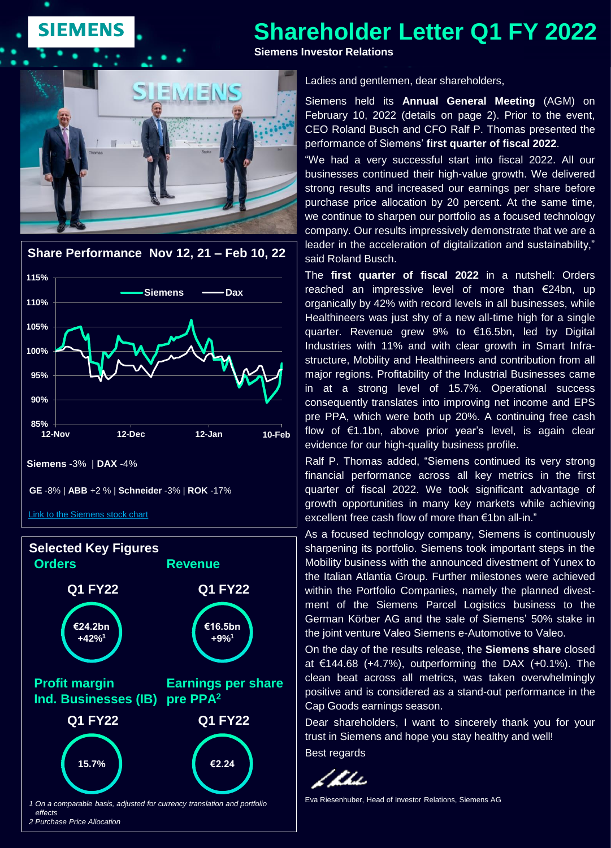# **SIEMENS**

# **Shareholder Letter Q1 FY 2022**

**Siemens Investor Relations**







Ladies and gentlemen, dear shareholders,

Siemens held its **Annual General Meeting** (AGM) on February 10, 2022 (details on page 2). Prior to the event, CEO Roland Busch and CFO Ralf P. Thomas presented the performance of Siemens' **first quarter of fiscal 2022**.

"We had a very successful start into fiscal 2022. All our businesses continued their high-value growth. We delivered strong results and increased our earnings per share before purchase price allocation by 20 percent. At the same time, we continue to sharpen our portfolio as a focused technology company. Our results impressively demonstrate that we are a leader in the acceleration of digitalization and sustainability," said Roland Busch.

The **first quarter of fiscal 2022** in a nutshell: Orders reached an impressive level of more than €24bn, up organically by 42% with record levels in all businesses, while Healthineers was just shy of a new all-time high for a single quarter. Revenue grew 9% to €16.5bn, led by Digital Industries with 11% and with clear growth in Smart Infrastructure, Mobility and Healthineers and contribution from all major regions. Profitability of the Industrial Businesses came in at a strong level of 15.7%. Operational success consequently translates into improving net income and EPS pre PPA, which were both up 20%. A continuing free cash flow of €1.1bn, above prior year's level, is again clear evidence for our high-quality business profile.

Ralf P. Thomas added, "Siemens continued its very strong financial performance across all key metrics in the first quarter of fiscal 2022. We took significant advantage of growth opportunities in many key markets while achieving excellent free cash flow of more than €1bn all-in."

As a focused technology company, Siemens is continuously sharpening its portfolio. Siemens took important steps in the Mobility business with the announced divestment of Yunex to the Italian Atlantia Group. Further milestones were achieved within the Portfolio Companies, namely the planned divestment of the Siemens Parcel Logistics business to the German Körber AG and the sale of Siemens' 50% stake in the joint venture Valeo Siemens e-Automotive to Valeo.

On the day of the results release, the **Siemens share** closed at €144.68 (+4.7%), outperforming the DAX (+0.1%). The clean beat across all metrics, was taken overwhelmingly positive and is considered as a stand-out performance in the Cap Goods earnings season.

Dear shareholders, I want to sincerely thank you for your trust in Siemens and hope you stay healthy and well! Best regards

Z Khi

Eva Riesenhuber, Head of Investor Relations, Siemens AG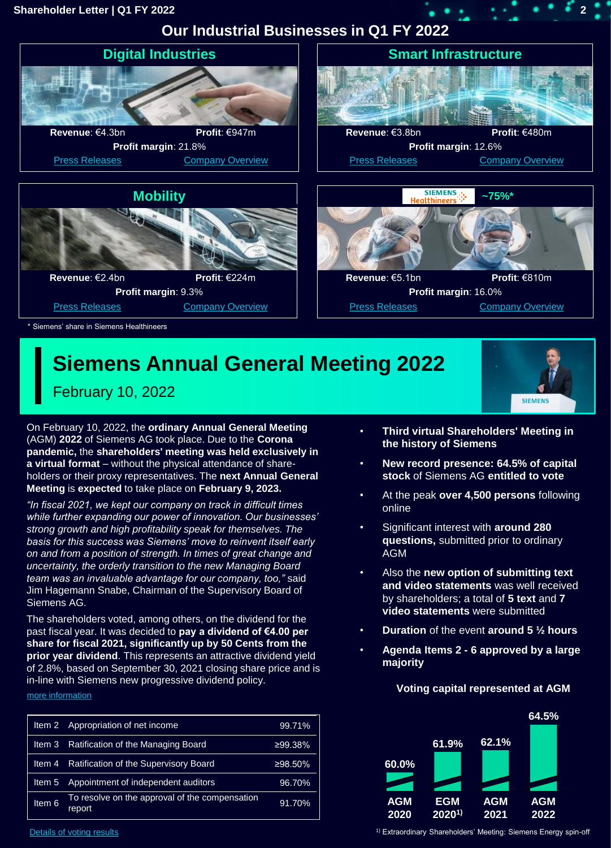### **Shareholder Letter | Q1 FY 2022 2**

**Our Industrial Businesses in Q1 FY 2022**



# **Siemens Annual General Meeting 2022**

February 10, 2022

On February 10, 2022, the **ordinary Annual General Meeting**  (AGM) **2022** of Siemens AG took place. Due to the **Corona pandemic,** the **shareholders' meeting was held exclusively in a virtual format** – without the physical attendance of shareholders or their proxy representatives. The **next Annual General Meeting** is **expected** to take place on **February 9, 2023.** 

*"In fiscal 2021, we kept our company on track in difficult times while further expanding our power of innovation. Our businesses' strong growth and high profitability speak for themselves. The basis for this success was Siemens' move to reinvent itself early on and from a position of strength. In times of great change and uncertainty, the orderly transition to the new Managing Board team was an invaluable advantage for our company, too,"* said Jim Hagemann Snabe, Chairman of the Supervisory Board of Siemens AG.

The shareholders voted, among others, on the dividend for the past fiscal year. It was decided to **pay a dividend of €4.00 per share for fiscal 2021, significantly up by 50 Cents from the prior year dividend**. This represents an attractive dividend yield of 2.8%, based on September 30, 2021 closing share price and is in-line with Siemens new progressive dividend policy.

[more information](https://new.siemens.com/global/en/company/investor-relations/annual-shareholder-meeting.html)

| ltem 2            | Appropriation of net income                              | 99.71%     |
|-------------------|----------------------------------------------------------|------------|
| Item 3            | Ratification of the Managing Board                       | ≥99.38%    |
| Item 4            | Ratification of the Supervisory Board                    | $≥98.50\%$ |
| Item 5            | Appointment of independent auditors                      | 96.70%     |
| Item <sub>6</sub> | To resolve on the approval of the compensation<br>report | 91.70%     |

• **Third virtual Shareholders' Meeting in the history of Siemens** 

**SIEMENS** 

- **New record presence: 64.5% of capital stock** of Siemens AG **entitled to vote**
- At the peak **over 4,500 persons** following online
- Significant interest with **around 280 questions,** submitted prior to ordinary AGM
- Also the **new option of submitting text and video statements** was well received by shareholders; a total of **5 text** and **7 video statements** were submitted
- **Duration** of the event **around 5 ½ hours**
- **Agenda Items 2 - 6 approved by a large majority**



### **Voting capital represented at AGM**

[Details of voting results](https://assets.new.siemens.com/siemens/assets/api/uuid:362a471a-2347-4e51-8d65-77225baba1f0/Siemens-AGM2022-voting-results.pdf)

<sup>1)</sup> Extraordinary Shareholders' Meeting: Siemens Energy spin-off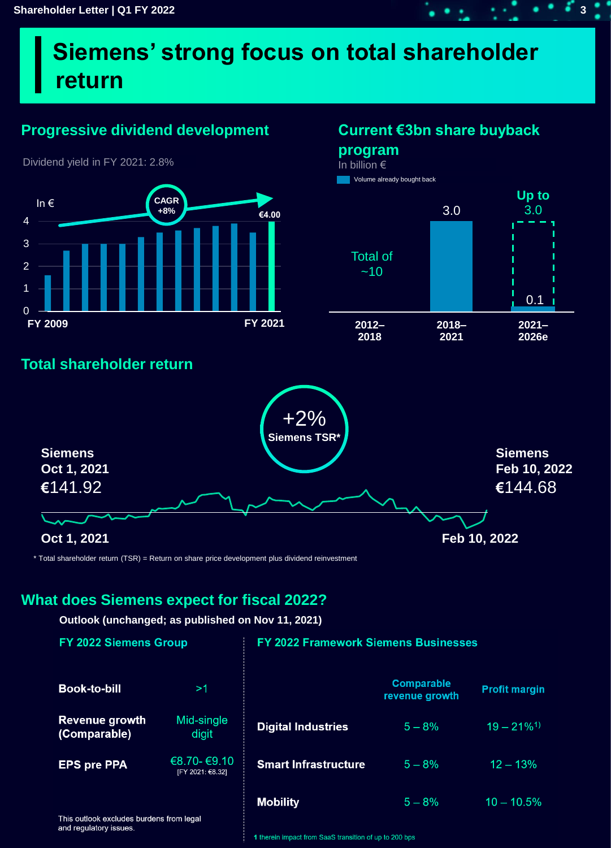# **Siemens' strong focus on total shareholder return**

# **Progressive dividend development Current €3bn share buyback**



Dividend yield in FY 2021: 2.8%

**program** In billion €

3.0 **Up to** 3.0 **2012– 2018 2018– 2021 2021– 2026e** Total of  $~10$  $0.1<sub>1</sub>$ Volume already bought back

argin

 $1%1$ 

 $10 - 10.5%$ 

# **Total shareholder return**



\* Total shareholder return (TSR) = Return on share price development plus dividend reinvestment

## **What does Siemens expect for fiscal 2022?**

**Outlook (unchanged; as published on Nov 11, 2021)**

[FY 2021: €8.32]

| <b>FY 2022 Siemens Group</b>          |                     | <b>FY 2022 Framework Siemens Businesses</b> |                                     |                          |
|---------------------------------------|---------------------|---------------------------------------------|-------------------------------------|--------------------------|
| <b>Book-to-bill</b>                   | >1                  |                                             | <b>Comparable</b><br>revenue growth | <b>Profit margi</b>      |
| <b>Revenue growth</b><br>(Comparable) | Mid-single<br>digit | <b>Digital Industries</b>                   | $5 - 8%$                            | $19 - 21\%$ <sup>1</sup> |
| <b>EPS pre PPA</b>                    | €8.70-€9.10         | <b>Smart Infrastructure</b>                 | $5 - 8\%$                           | $12 - 13%$               |

**Mobility** 

**EPS pre PPA** 

and regulatory issues.

This outlook excludes burdens from legal

1 therein impact from SaaS transition of up to 200 bps

 $5 - 8%$